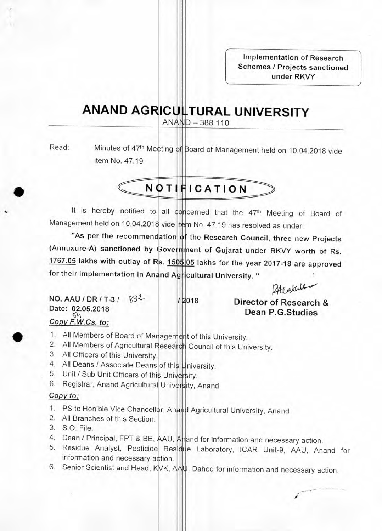**Implementation of Research Schemes / Projects sanctioned under RKVY** 

## **ANAND AGRICULTURAL UNIVERSITY**

 $ANAND - 388110$ 

•

•

Read: Minutes of 47<sup>th</sup> Meeting of Board of Management held on 10.04.2018 vide item No. 47.19

# **NOTIFICATION**

It is hereby notified to all concerned that the 47<sup>th</sup> Meeting of Board of Management held on 10.04.2018 vide item No. 47.19 has resolved as under:

"As per the recommendation of the Research Council, three new Projects **(Annuxure-A) sanctioned by Government of Gujarat under RKVY worth of Rs. 1767.05 lakhs with outlay of Rs. 1505 05 lakhs for the year 2017-18 are approved**  for their implementation in Anand Agricultural University. " eting of Board of<br>as under:<br>three new Projects<br>RKVY worth of Rs.<br>17-18 are approved<br>(Atlature of Research &<br>P.G.Studies

Á

**NO. AAU / DR / T-3 / 5532- / 2018 Director of Research & Date:** 02.05.2018 **Dean P.G.Studies Copy F.W.Cs. to;** 

- 1. All Members of Board of Management of this University.
- 2. All Members of Agricultural Research Council of this University.
- 3. All Officers of this University.
- 4. All Deans / Associate Deans of this University.
- 5. Unit / Sub Unit Officers of this University.
- 6. Registrar, Anand Agricultural University, Anand

### **Copy to;**

- 1. PS to Hon'ble Vice Chancellor, Anand Agricultural University, Anand
- 2. All Branches of this Section.
- 3. S.O. File.
- 4. Dean / Principal, FPT & BE, AAU, Anand for information and necessary action.
- 5. Residue Analyst, Pesticide Residue Laboratory, ICAR Unit-9, AAU, Anand for information and necessary action.
- 6. Senior Scientist and Head, KVK, AAU, Dahod for information and necessary action.